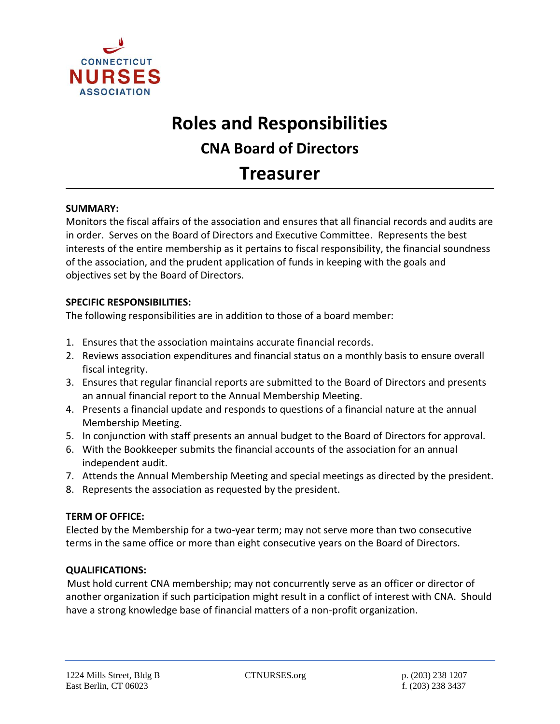

# **Roles and Responsibilities CNA Board of Directors Treasurer**

## **SUMMARY:**

Monitors the fiscal affairs of the association and ensures that all financial records and audits are in order. Serves on the Board of Directors and Executive Committee. Represents the best interests of the entire membership as it pertains to fiscal responsibility, the financial soundness of the association, and the prudent application of funds in keeping with the goals and objectives set by the Board of Directors.

## **SPECIFIC RESPONSIBILITIES:**

The following responsibilities are in addition to those of a board member:

- 1. Ensures that the association maintains accurate financial records.
- 2. Reviews association expenditures and financial status on a monthly basis to ensure overall fiscal integrity.
- 3. Ensures that regular financial reports are submitted to the Board of Directors and presents an annual financial report to the Annual Membership Meeting.
- 4. Presents a financial update and responds to questions of a financial nature at the annual Membership Meeting.
- 5. In conjunction with staff presents an annual budget to the Board of Directors for approval.
- 6. With the Bookkeeper submits the financial accounts of the association for an annual independent audit.
- 7. Attends the Annual Membership Meeting and special meetings as directed by the president.
- 8. Represents the association as requested by the president.

#### **TERM OF OFFICE:**

Elected by the Membership for a two-year term; may not serve more than two consecutive terms in the same office or more than eight consecutive years on the Board of Directors.

# **QUALIFICATIONS:**

 Must hold current CNA membership; may not concurrently serve as an officer or director of another organization if such participation might result in a conflict of interest with CNA. Should have a strong knowledge base of financial matters of a non-profit organization.